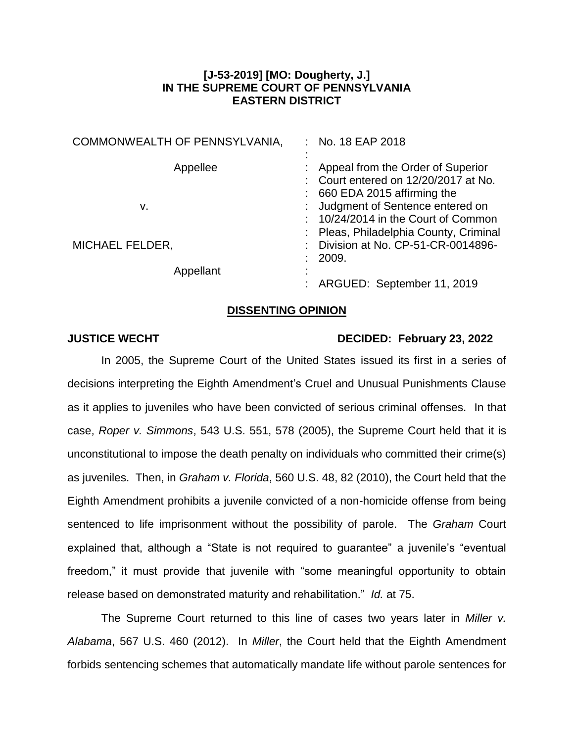## **[J-53-2019] [MO: Dougherty, J.] IN THE SUPREME COURT OF PENNSYLVANIA EASTERN DISTRICT**

| COMMONWEALTH OF PENNSYLVANIA, | No. 18 EAP 2018                                                                                              |
|-------------------------------|--------------------------------------------------------------------------------------------------------------|
| Appellee                      | Appeal from the Order of Superior<br>Court entered on 12/20/2017 at No.<br>660 EDA 2015 affirming the        |
| v.                            | Judgment of Sentence entered on<br>10/24/2014 in the Court of Common<br>Pleas, Philadelphia County, Criminal |
| <b>MICHAEL FELDER,</b>        | Division at No. CP-51-CR-0014896-<br>2009.                                                                   |
| Appellant                     | ARGUED: September 11, 2019                                                                                   |

## **DISSENTING OPINION**

## **JUSTICE WECHT DECIDED: February 23, 2022**

In 2005, the Supreme Court of the United States issued its first in a series of decisions interpreting the Eighth Amendment's Cruel and Unusual Punishments Clause as it applies to juveniles who have been convicted of serious criminal offenses. In that case, *Roper v. Simmons*, 543 U.S. 551, 578 (2005), the Supreme Court held that it is unconstitutional to impose the death penalty on individuals who committed their crime(s) as juveniles. Then, in *Graham v. Florida*, 560 U.S. 48, 82 (2010), the Court held that the Eighth Amendment prohibits a juvenile convicted of a non-homicide offense from being sentenced to life imprisonment without the possibility of parole. The *Graham* Court explained that, although a "State is not required to guarantee" a juvenile's "eventual freedom," it must provide that juvenile with "some meaningful opportunity to obtain release based on demonstrated maturity and rehabilitation." *Id.* at 75.

The Supreme Court returned to this line of cases two years later in *Miller v. Alabama*, 567 U.S. 460 (2012). In *Miller*, the Court held that the Eighth Amendment forbids sentencing schemes that automatically mandate life without parole sentences for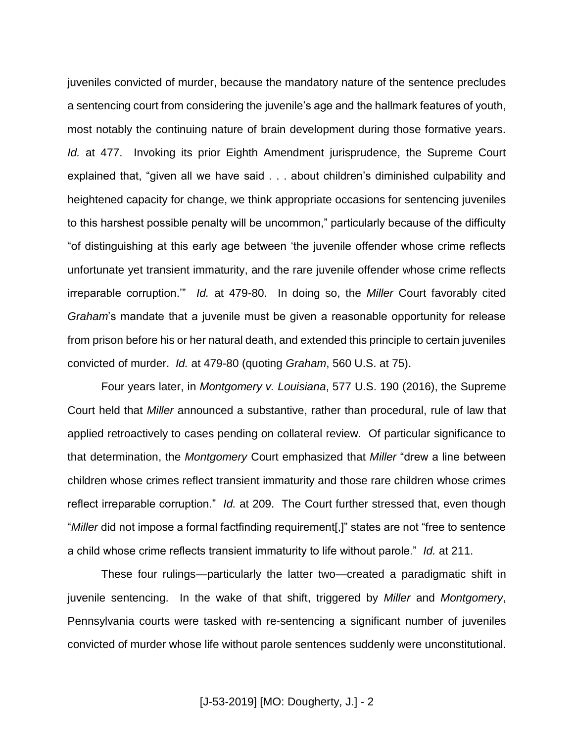juveniles convicted of murder, because the mandatory nature of the sentence precludes a sentencing court from considering the juvenile's age and the hallmark features of youth, most notably the continuing nature of brain development during those formative years. *Id.* at 477. Invoking its prior Eighth Amendment jurisprudence, the Supreme Court explained that, "given all we have said . . . about children's diminished culpability and heightened capacity for change, we think appropriate occasions for sentencing juveniles to this harshest possible penalty will be uncommon," particularly because of the difficulty "of distinguishing at this early age between 'the juvenile offender whose crime reflects unfortunate yet transient immaturity, and the rare juvenile offender whose crime reflects irreparable corruption.'" *Id.* at 479-80. In doing so, the *Miller* Court favorably cited *Graham*'s mandate that a juvenile must be given a reasonable opportunity for release from prison before his or her natural death, and extended this principle to certain juveniles convicted of murder. *Id.* at 479-80 (quoting *Graham*, 560 U.S. at 75).

Four years later, in *Montgomery v. Louisiana*, 577 U.S. 190 (2016), the Supreme Court held that *Miller* announced a substantive, rather than procedural, rule of law that applied retroactively to cases pending on collateral review. Of particular significance to that determination, the *Montgomery* Court emphasized that *Miller* "drew a line between children whose crimes reflect transient immaturity and those rare children whose crimes reflect irreparable corruption." *Id.* at 209. The Court further stressed that, even though "*Miller* did not impose a formal factfinding requirement[,]" states are not "free to sentence a child whose crime reflects transient immaturity to life without parole." *Id.* at 211.

These four rulings—particularly the latter two—created a paradigmatic shift in juvenile sentencing. In the wake of that shift, triggered by *Miller* and *Montgomery*, Pennsylvania courts were tasked with re-sentencing a significant number of juveniles convicted of murder whose life without parole sentences suddenly were unconstitutional.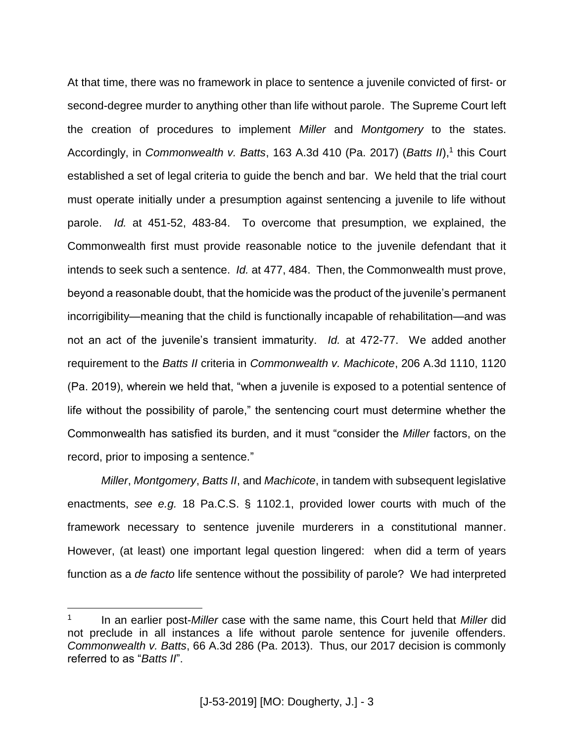At that time, there was no framework in place to sentence a juvenile convicted of first- or second-degree murder to anything other than life without parole. The Supreme Court left the creation of procedures to implement *Miller* and *Montgomery* to the states. Accordingly, in *Commonwealth v. Batts*, 163 A.3d 410 (Pa. 2017) (*Batts II*),<sup>1</sup> this Court established a set of legal criteria to guide the bench and bar. We held that the trial court must operate initially under a presumption against sentencing a juvenile to life without parole. *Id.* at 451-52, 483-84. To overcome that presumption, we explained, the Commonwealth first must provide reasonable notice to the juvenile defendant that it intends to seek such a sentence. *Id.* at 477, 484. Then, the Commonwealth must prove, beyond a reasonable doubt, that the homicide was the product of the juvenile's permanent incorrigibility—meaning that the child is functionally incapable of rehabilitation—and was not an act of the juvenile's transient immaturity. *Id.* at 472-77. We added another requirement to the *Batts II* criteria in *Commonwealth v. Machicote*, 206 A.3d 1110, 1120 (Pa. 2019), wherein we held that, "when a juvenile is exposed to a potential sentence of life without the possibility of parole," the sentencing court must determine whether the Commonwealth has satisfied its burden, and it must "consider the *Miller* factors, on the record, prior to imposing a sentence."

*Miller*, *Montgomery*, *Batts II*, and *Machicote*, in tandem with subsequent legislative enactments, *see e.g.* 18 Pa.C.S. § 1102.1, provided lower courts with much of the framework necessary to sentence juvenile murderers in a constitutional manner. However, (at least) one important legal question lingered: when did a term of years function as a *de facto* life sentence without the possibility of parole? We had interpreted

<sup>1</sup> In an earlier post-*Miller* case with the same name, this Court held that *Miller* did not preclude in all instances a life without parole sentence for juvenile offenders. *Commonwealth v. Batts*, 66 A.3d 286 (Pa. 2013). Thus, our 2017 decision is commonly referred to as "*Batts II*".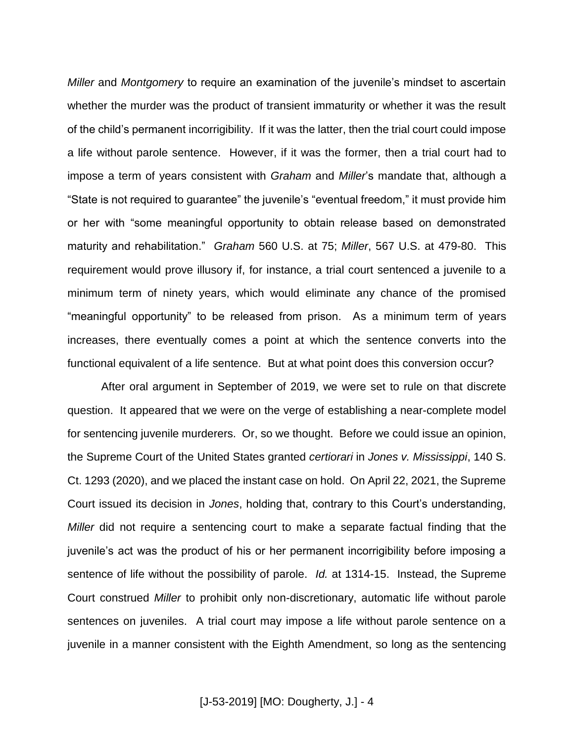*Miller* and *Montgomery* to require an examination of the juvenile's mindset to ascertain whether the murder was the product of transient immaturity or whether it was the result of the child's permanent incorrigibility. If it was the latter, then the trial court could impose a life without parole sentence. However, if it was the former, then a trial court had to impose a term of years consistent with *Graham* and *Miller*'s mandate that, although a "State is not required to guarantee" the juvenile's "eventual freedom," it must provide him or her with "some meaningful opportunity to obtain release based on demonstrated maturity and rehabilitation." *Graham* 560 U.S. at 75; *Miller*, 567 U.S. at 479-80. This requirement would prove illusory if, for instance, a trial court sentenced a juvenile to a minimum term of ninety years, which would eliminate any chance of the promised "meaningful opportunity" to be released from prison. As a minimum term of years increases, there eventually comes a point at which the sentence converts into the functional equivalent of a life sentence. But at what point does this conversion occur?

After oral argument in September of 2019, we were set to rule on that discrete question. It appeared that we were on the verge of establishing a near-complete model for sentencing juvenile murderers. Or, so we thought. Before we could issue an opinion, the Supreme Court of the United States granted *certiorari* in *Jones v. Mississippi*, 140 S. Ct. 1293 (2020), and we placed the instant case on hold. On April 22, 2021, the Supreme Court issued its decision in *Jones*, holding that, contrary to this Court's understanding, *Miller* did not require a sentencing court to make a separate factual finding that the juvenile's act was the product of his or her permanent incorrigibility before imposing a sentence of life without the possibility of parole. *Id.* at 1314-15. Instead, the Supreme Court construed *Miller* to prohibit only non-discretionary, automatic life without parole sentences on juveniles. A trial court may impose a life without parole sentence on a juvenile in a manner consistent with the Eighth Amendment, so long as the sentencing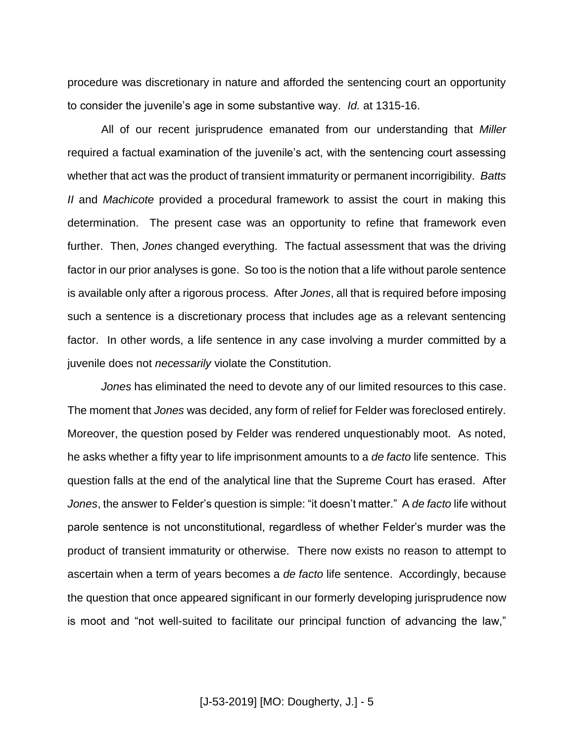procedure was discretionary in nature and afforded the sentencing court an opportunity to consider the juvenile's age in some substantive way. *Id.* at 1315-16.

All of our recent jurisprudence emanated from our understanding that *Miller* required a factual examination of the juvenile's act, with the sentencing court assessing whether that act was the product of transient immaturity or permanent incorrigibility. *Batts II* and *Machicote* provided a procedural framework to assist the court in making this determination. The present case was an opportunity to refine that framework even further. Then, *Jones* changed everything. The factual assessment that was the driving factor in our prior analyses is gone. So too is the notion that a life without parole sentence is available only after a rigorous process. After *Jones*, all that is required before imposing such a sentence is a discretionary process that includes age as a relevant sentencing factor. In other words, a life sentence in any case involving a murder committed by a juvenile does not *necessarily* violate the Constitution.

*Jones* has eliminated the need to devote any of our limited resources to this case. The moment that *Jones* was decided, any form of relief for Felder was foreclosed entirely. Moreover, the question posed by Felder was rendered unquestionably moot. As noted, he asks whether a fifty year to life imprisonment amounts to a *de facto* life sentence. This question falls at the end of the analytical line that the Supreme Court has erased. After *Jones*, the answer to Felder's question is simple: "it doesn't matter." A *de facto* life without parole sentence is not unconstitutional, regardless of whether Felder's murder was the product of transient immaturity or otherwise. There now exists no reason to attempt to ascertain when a term of years becomes a *de facto* life sentence. Accordingly, because the question that once appeared significant in our formerly developing jurisprudence now is moot and "not well-suited to facilitate our principal function of advancing the law,"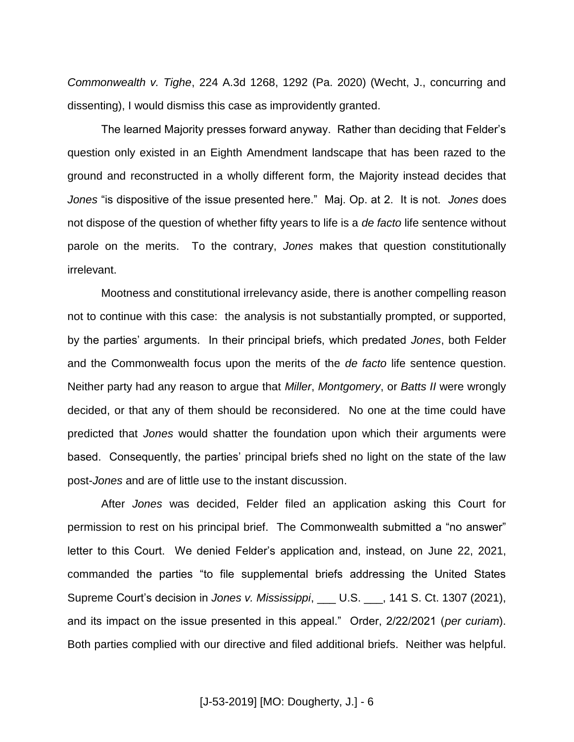*Commonwealth v. Tighe*, 224 A.3d 1268, 1292 (Pa. 2020) (Wecht, J., concurring and dissenting), I would dismiss this case as improvidently granted.

The learned Majority presses forward anyway. Rather than deciding that Felder's question only existed in an Eighth Amendment landscape that has been razed to the ground and reconstructed in a wholly different form, the Majority instead decides that *Jones* "is dispositive of the issue presented here." Maj. Op. at 2. It is not. *Jones* does not dispose of the question of whether fifty years to life is a *de facto* life sentence without parole on the merits. To the contrary, *Jones* makes that question constitutionally irrelevant.

Mootness and constitutional irrelevancy aside, there is another compelling reason not to continue with this case: the analysis is not substantially prompted, or supported, by the parties' arguments. In their principal briefs, which predated *Jones*, both Felder and the Commonwealth focus upon the merits of the *de facto* life sentence question. Neither party had any reason to argue that *Miller*, *Montgomery*, or *Batts II* were wrongly decided, or that any of them should be reconsidered. No one at the time could have predicted that *Jones* would shatter the foundation upon which their arguments were based. Consequently, the parties' principal briefs shed no light on the state of the law post-*Jones* and are of little use to the instant discussion.

After *Jones* was decided, Felder filed an application asking this Court for permission to rest on his principal brief. The Commonwealth submitted a "no answer" letter to this Court. We denied Felder's application and, instead, on June 22, 2021, commanded the parties "to file supplemental briefs addressing the United States Supreme Court's decision in *Jones v. Mississippi*, \_\_\_ U.S. \_\_\_, 141 S. Ct. 1307 (2021), and its impact on the issue presented in this appeal." Order, 2/22/2021 (*per curiam*). Both parties complied with our directive and filed additional briefs. Neither was helpful.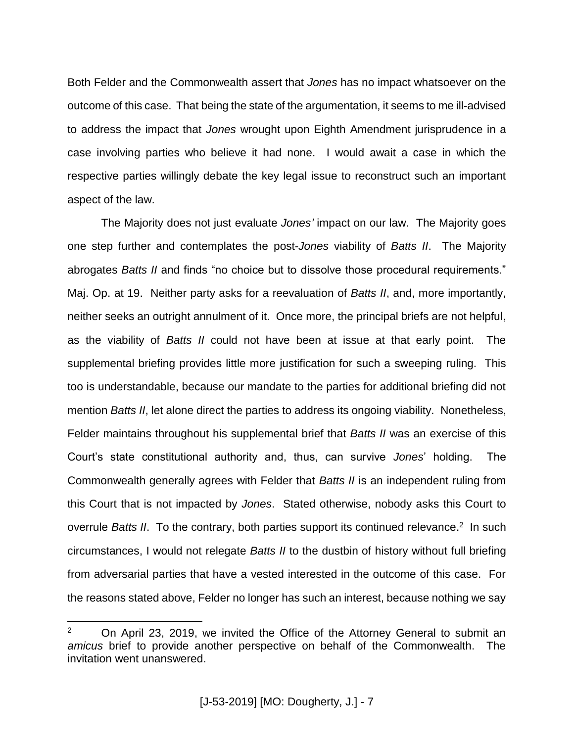Both Felder and the Commonwealth assert that *Jones* has no impact whatsoever on the outcome of this case. That being the state of the argumentation, it seems to me ill-advised to address the impact that *Jones* wrought upon Eighth Amendment jurisprudence in a case involving parties who believe it had none. I would await a case in which the respective parties willingly debate the key legal issue to reconstruct such an important aspect of the law.

The Majority does not just evaluate *Jones'* impact on our law. The Majority goes one step further and contemplates the post-*Jones* viability of *Batts II*. The Majority abrogates *Batts II* and finds "no choice but to dissolve those procedural requirements." Maj. Op. at 19. Neither party asks for a reevaluation of *Batts II*, and, more importantly, neither seeks an outright annulment of it. Once more, the principal briefs are not helpful, as the viability of *Batts II* could not have been at issue at that early point. The supplemental briefing provides little more justification for such a sweeping ruling. This too is understandable, because our mandate to the parties for additional briefing did not mention *Batts II*, let alone direct the parties to address its ongoing viability. Nonetheless, Felder maintains throughout his supplemental brief that *Batts II* was an exercise of this Court's state constitutional authority and, thus, can survive *Jones*' holding. The Commonwealth generally agrees with Felder that *Batts II* is an independent ruling from this Court that is not impacted by *Jones*. Stated otherwise, nobody asks this Court to overrule Batts II. To the contrary, both parties support its continued relevance.<sup>2</sup> In such circumstances, I would not relegate *Batts II* to the dustbin of history without full briefing from adversarial parties that have a vested interested in the outcome of this case. For the reasons stated above, Felder no longer has such an interest, because nothing we say

<sup>&</sup>lt;sup>2</sup> On April 23, 2019, we invited the Office of the Attorney General to submit an *amicus* brief to provide another perspective on behalf of the Commonwealth. The invitation went unanswered.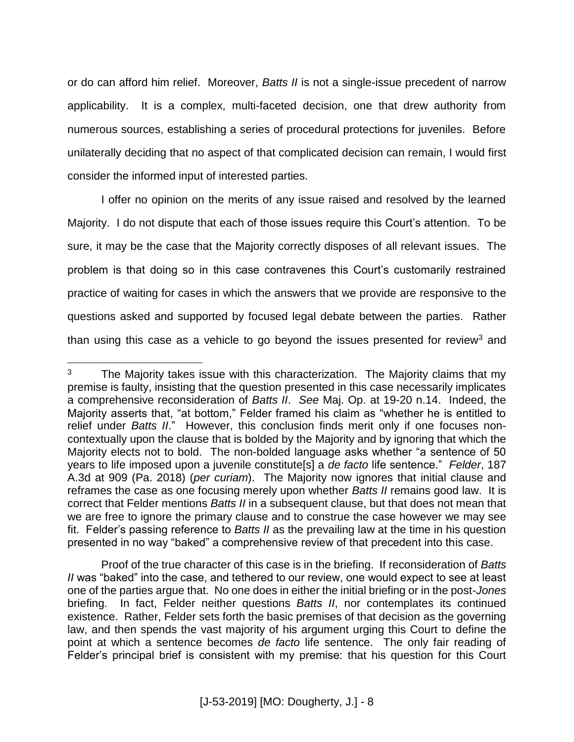or do can afford him relief. Moreover, *Batts II* is not a single-issue precedent of narrow applicability. It is a complex, multi-faceted decision, one that drew authority from numerous sources, establishing a series of procedural protections for juveniles. Before unilaterally deciding that no aspect of that complicated decision can remain, I would first consider the informed input of interested parties.

I offer no opinion on the merits of any issue raised and resolved by the learned Majority. I do not dispute that each of those issues require this Court's attention. To be sure, it may be the case that the Majority correctly disposes of all relevant issues. The problem is that doing so in this case contravenes this Court's customarily restrained practice of waiting for cases in which the answers that we provide are responsive to the questions asked and supported by focused legal debate between the parties. Rather than using this case as a vehicle to go beyond the issues presented for review<sup>3</sup> and

 $3$  The Majority takes issue with this characterization. The Majority claims that my premise is faulty, insisting that the question presented in this case necessarily implicates a comprehensive reconsideration of *Batts II*. *See* Maj. Op. at 19-20 n.14. Indeed, the Majority asserts that, "at bottom," Felder framed his claim as "whether he is entitled to relief under *Batts II*." However, this conclusion finds merit only if one focuses noncontextually upon the clause that is bolded by the Majority and by ignoring that which the Majority elects not to bold. The non-bolded language asks whether "a sentence of 50 years to life imposed upon a juvenile constitute[s] a *de facto* life sentence." *Felder*, 187 A.3d at 909 (Pa. 2018) (*per curiam*). The Majority now ignores that initial clause and reframes the case as one focusing merely upon whether *Batts II* remains good law. It is correct that Felder mentions *Batts II* in a subsequent clause, but that does not mean that we are free to ignore the primary clause and to construe the case however we may see fit. Felder's passing reference to *Batts II* as the prevailing law at the time in his question presented in no way "baked" a comprehensive review of that precedent into this case.

Proof of the true character of this case is in the briefing. If reconsideration of *Batts II* was "baked" into the case, and tethered to our review, one would expect to see at least one of the parties argue that. No one does in either the initial briefing or in the post-*Jones* briefing. In fact, Felder neither questions *Batts II*, nor contemplates its continued existence. Rather, Felder sets forth the basic premises of that decision as the governing law, and then spends the vast majority of his argument urging this Court to define the point at which a sentence becomes *de facto* life sentence. The only fair reading of Felder's principal brief is consistent with my premise: that his question for this Court